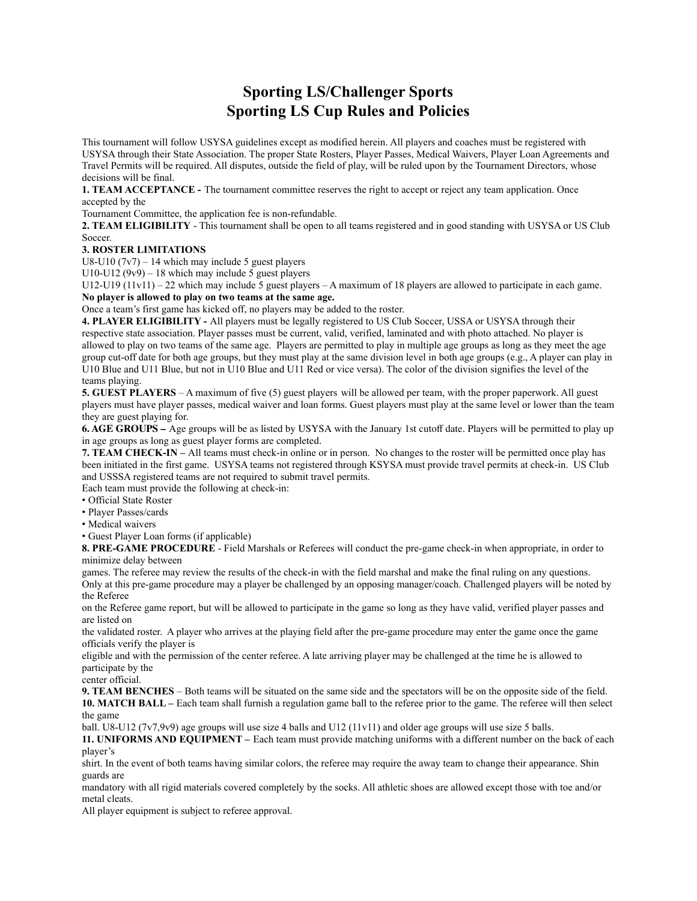## **Sporting LS/Challenger Sports Sporting LS Cup Rules and Policies**

This tournament will follow USYSA guidelines except as modified herein. All players and coaches must be registered with USYSA through their State Association. The proper State Rosters, Player Passes, Medical Waivers, Player Loan Agreements and Travel Permits will be required. All disputes, outside the field of play, will be ruled upon by the Tournament Directors, whose decisions will be final.

**1. TEAM ACCEPTANCE -** The tournament committee reserves the right to accept or reject any team application. Once accepted by the

Tournament Committee, the application fee is non-refundable.

**2. TEAM ELIGIBILITY** - This tournament shall be open to all teams registered and in good standing with USYSA or US Club Soccer.

## **3. ROSTER LIMITATIONS**

U8-U10  $(7v7)$  – 14 which may include 5 guest players

U10-U12 (9v9) – 18 which may include 5 guest players

U12-U19 (11v11) – 22 which may include 5 guest players – A maximum of 18 players are allowed to participate in each game. **No player is allowed to play on two teams at the same age.**

Once a team's first game has kicked off, no players may be added to the roster.

**4. PLAYER ELIGIBILITY -** All players must be legally registered to US Club Soccer, USSA or USYSA through their respective state association. Player passes must be current, valid, verified, laminated and with photo attached. No player is allowed to play on two teams of the same age. Players are permitted to play in multiple age groups as long as they meet the age group cut-off date for both age groups, but they must play at the same division level in both age groups (e.g., A player can play in U10 Blue and U11 Blue, but not in U10 Blue and U11 Red or vice versa). The color of the division signifies the level of the teams playing.

**5. GUEST PLAYERS** – A maximum of five (5) guest players will be allowed per team, with the proper paperwork. All guest players must have player passes, medical waiver and loan forms. Guest players must play at the same level or lower than the team they are guest playing for.

**6. AGE GROUPS –** Age groups will be as listed by USYSA with the January 1st cutoff date. Players will be permitted to play up in age groups as long as guest player forms are completed.

**7. TEAM CHECK-IN –** All teams must check-in online or in person. No changes to the roster will be permitted once play has been initiated in the first game. USYSA teams not registered through KSYSA must provide travel permits at check-in. US Club and USSSA registered teams are not required to submit travel permits.

Each team must provide the following at check-in:

- Official State Roster
- Player Passes/cards
- Medical waivers

• Guest Player Loan forms (if applicable)

**8. PRE-GAME PROCEDURE** - Field Marshals or Referees will conduct the pre-game check-in when appropriate, in order to minimize delay between

games. The referee may review the results of the check-in with the field marshal and make the final ruling on any questions. Only at this pre-game procedure may a player be challenged by an opposing manager/coach. Challenged players will be noted by the Referee

on the Referee game report, but will be allowed to participate in the game so long as they have valid, verified player passes and are listed on

the validated roster. A player who arrives at the playing field after the pre-game procedure may enter the game once the game officials verify the player is

eligible and with the permission of the center referee. A late arriving player may be challenged at the time he is allowed to participate by the

center official.

**9. TEAM BENCHES** – Both teams will be situated on the same side and the spectators will be on the opposite side of the field. **10. MATCH BALL –** Each team shall furnish a regulation game ball to the referee prior to the game. The referee will then select the game

ball. U8-U12 (7v7,9v9) age groups will use size 4 balls and U12 (11v11) and older age groups will use size 5 balls.

**11. UNIFORMS AND EQUIPMENT –** Each team must provide matching uniforms with a different number on the back of each player's

shirt. In the event of both teams having similar colors, the referee may require the away team to change their appearance. Shin guards are

mandatory with all rigid materials covered completely by the socks. All athletic shoes are allowed except those with toe and/or metal cleats.

All player equipment is subject to referee approval.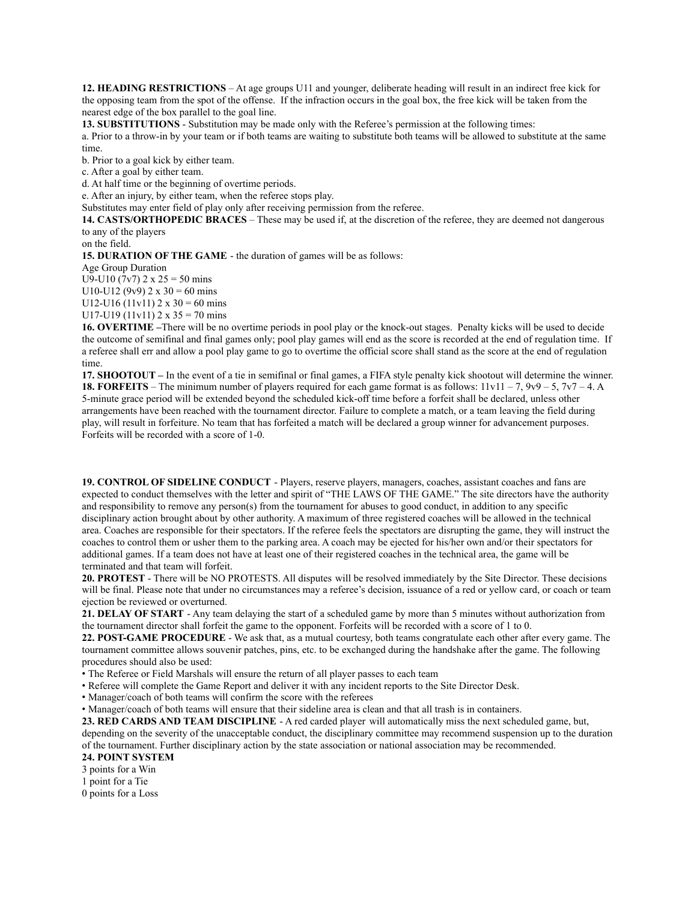**12. HEADING RESTRICTIONS** – At age groups U11 and younger, deliberate heading will result in an indirect free kick for the opposing team from the spot of the offense. If the infraction occurs in the goal box, the free kick will be taken from the nearest edge of the box parallel to the goal line.

**13. SUBSTITUTIONS** - Substitution may be made only with the Referee's permission at the following times:

a. Prior to a throw-in by your team or if both teams are waiting to substitute both teams will be allowed to substitute at the same time.

b. Prior to a goal kick by either team.

c. After a goal by either team.

d. At half time or the beginning of overtime periods.

e. After an injury, by either team, when the referee stops play.

Substitutes may enter field of play only after receiving permission from the referee.

**14. CASTS/ORTHOPEDIC BRACES** – These may be used if, at the discretion of the referee, they are deemed not dangerous to any of the players

on the field.

**15. DURATION OF THE GAME** - the duration of games will be as follows:

Age Group Duration

U9-U10 (7v7)  $2 \times 25 = 50$  mins U10-U12 (9v9)  $2 \times 30 = 60$  mins

U12-U16 (11v11)  $2 \times 30 = 60$  mins

U17-U19 (11v11)  $2 \times 35 = 70$  mins

**16. OVERTIME –**There will be no overtime periods in pool play or the knock-out stages. Penalty kicks will be used to decide the outcome of semifinal and final games only; pool play games will end as the score is recorded at the end of regulation time. If a referee shall err and allow a pool play game to go to overtime the official score shall stand as the score at the end of regulation time.

**17. SHOOTOUT –** In the event of a tie in semifinal or final games, a FIFA style penalty kick shootout will determine the winner. **18. FORFEITS** – The minimum number of players required for each game format is as follows: 11v11 – 7, 9v9 – 5, 7v7 – 4. A 5-minute grace period will be extended beyond the scheduled kick-off time before a forfeit shall be declared, unless other arrangements have been reached with the tournament director. Failure to complete a match, or a team leaving the field during play, will result in forfeiture. No team that has forfeited a match will be declared a group winner for advancement purposes. Forfeits will be recorded with a score of 1-0.

**19. CONTROL OF SIDELINE CONDUCT** - Players, reserve players, managers, coaches, assistant coaches and fans are expected to conduct themselves with the letter and spirit of "THE LAWS OF THE GAME." The site directors have the authority and responsibility to remove any person(s) from the tournament for abuses to good conduct, in addition to any specific disciplinary action brought about by other authority. A maximum of three registered coaches will be allowed in the technical area. Coaches are responsible for their spectators. If the referee feels the spectators are disrupting the game, they will instruct the coaches to control them or usher them to the parking area. A coach may be ejected for his/her own and/or their spectators for additional games. If a team does not have at least one of their registered coaches in the technical area, the game will be terminated and that team will forfeit.

**20. PROTEST** - There will be NO PROTESTS. All disputes will be resolved immediately by the Site Director. These decisions will be final. Please note that under no circumstances may a referee's decision, issuance of a red or yellow card, or coach or team ejection be reviewed or overturned.

**21. DELAY OF START** - Any team delaying the start of a scheduled game by more than 5 minutes without authorization from the tournament director shall forfeit the game to the opponent. Forfeits will be recorded with a score of 1 to 0.

**22. POST-GAME PROCEDURE** - We ask that, as a mutual courtesy, both teams congratulate each other after every game. The tournament committee allows souvenir patches, pins, etc. to be exchanged during the handshake after the game. The following procedures should also be used:

• The Referee or Field Marshals will ensure the return of all player passes to each team

• Referee will complete the Game Report and deliver it with any incident reports to the Site Director Desk.

• Manager/coach of both teams will confirm the score with the referees

• Manager/coach of both teams will ensure that their sideline area is clean and that all trash is in containers.

**23. RED CARDS AND TEAM DISCIPLINE** - A red carded player will automatically miss the next scheduled game, but, depending on the severity of the unacceptable conduct, the disciplinary committee may recommend suspension up to the duration of the tournament. Further disciplinary action by the state association or national association may be recommended.

## **24. POINT SYSTEM**

3 points for a Win

1 point for a Tie

0 points for a Loss